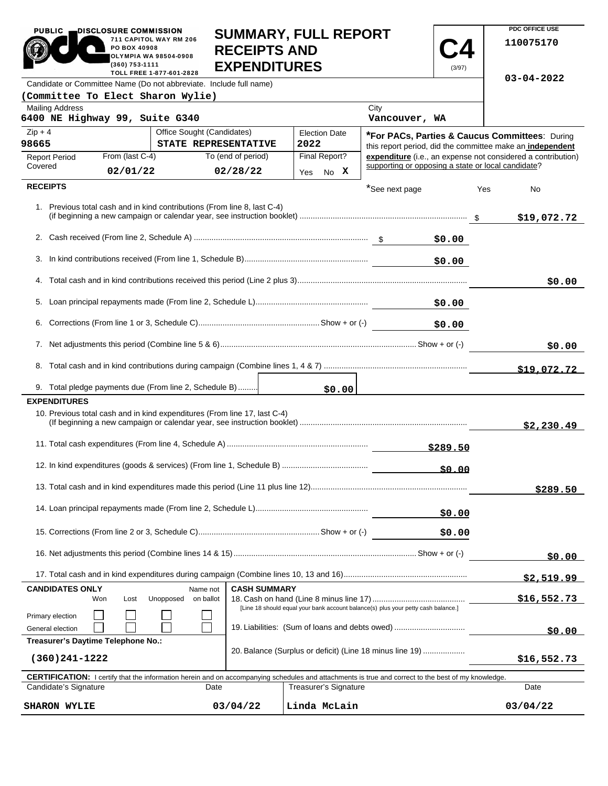| <b>PUBLIC</b>                                                                                                                                                               | DISCLOSURE COMMISSION |                                                                           |                                                                           |                       |                                                    |        | PDC OFFICE USE                                               |
|-----------------------------------------------------------------------------------------------------------------------------------------------------------------------------|-----------------------|---------------------------------------------------------------------------|---------------------------------------------------------------------------|-----------------------|----------------------------------------------------|--------|--------------------------------------------------------------|
| 711 CAPITOL WAY RM 206<br>PO BOX 40908<br>OLYMPIA WA 98504-0908<br>(360) 753-1111                                                                                           |                       |                                                                           | <b>SUMMARY, FULL REPORT</b><br><b>RECEIPTS AND</b><br><b>EXPENDITURES</b> |                       |                                                    |        | 110075170                                                    |
| (3/97)<br>TOLL FREE 1-877-601-2828<br>Candidate or Committee Name (Do not abbreviate. Include full name)                                                                    |                       |                                                                           |                                                                           |                       |                                                    |        | $03 - 04 - 2022$                                             |
| (Committee To Elect Sharon Wylie)                                                                                                                                           |                       |                                                                           |                                                                           |                       |                                                    |        |                                                              |
| <b>Mailing Address</b><br>6400 NE Highway 99, Suite G340                                                                                                                    |                       |                                                                           |                                                                           |                       | City<br>Vancouver, WA                              |        |                                                              |
| $Zip + 4$                                                                                                                                                                   |                       | Office Sought (Candidates)                                                |                                                                           | <b>Election Date</b>  |                                                    |        | <b>*For PACs, Parties &amp; Caucus Committees: During</b>    |
| 98665                                                                                                                                                                       |                       | STATE REPRESENTATIVE                                                      |                                                                           | 2022                  |                                                    |        | this report period, did the committee make an independent    |
| <b>Report Period</b><br>Covered                                                                                                                                             | From (last C-4)       |                                                                           | To (end of period)                                                        | Final Report?         | supporting or opposing a state or local candidate? |        | expenditure (i.e., an expense not considered a contribution) |
|                                                                                                                                                                             | 02/01/22              |                                                                           | 02/28/22                                                                  | No X<br>Yes           |                                                    |        |                                                              |
| <b>RECEIPTS</b>                                                                                                                                                             |                       |                                                                           |                                                                           |                       | *See next page                                     | Yes    | No.                                                          |
|                                                                                                                                                                             |                       | 1. Previous total cash and in kind contributions (From line 8, last C-4)  |                                                                           |                       |                                                    |        | \$19,072.72                                                  |
|                                                                                                                                                                             |                       |                                                                           |                                                                           |                       |                                                    | \$0.00 |                                                              |
| 3.                                                                                                                                                                          |                       |                                                                           |                                                                           |                       |                                                    | \$0.00 |                                                              |
|                                                                                                                                                                             |                       |                                                                           |                                                                           |                       |                                                    |        |                                                              |
|                                                                                                                                                                             |                       |                                                                           |                                                                           |                       |                                                    |        | \$0.00                                                       |
|                                                                                                                                                                             |                       |                                                                           |                                                                           |                       |                                                    | \$0.00 |                                                              |
|                                                                                                                                                                             | \$0.00                |                                                                           |                                                                           |                       |                                                    |        |                                                              |
|                                                                                                                                                                             |                       |                                                                           |                                                                           |                       |                                                    |        | \$0.00                                                       |
|                                                                                                                                                                             |                       |                                                                           |                                                                           |                       |                                                    |        |                                                              |
|                                                                                                                                                                             |                       |                                                                           |                                                                           |                       |                                                    |        | \$19,072.72                                                  |
|                                                                                                                                                                             |                       | 9. Total pledge payments due (From line 2, Schedule B)                    |                                                                           | \$0.00                |                                                    |        |                                                              |
| <b>EXPENDITURES</b>                                                                                                                                                         |                       | 10. Previous total cash and in kind expenditures (From line 17, last C-4) |                                                                           |                       |                                                    |        |                                                              |
|                                                                                                                                                                             |                       |                                                                           |                                                                           |                       |                                                    |        | \$2,230.49                                                   |
| \$289.50                                                                                                                                                                    |                       |                                                                           |                                                                           |                       |                                                    |        |                                                              |
|                                                                                                                                                                             |                       |                                                                           |                                                                           |                       |                                                    |        |                                                              |
|                                                                                                                                                                             |                       |                                                                           |                                                                           |                       |                                                    |        | \$289.50                                                     |
|                                                                                                                                                                             |                       |                                                                           |                                                                           |                       |                                                    | \$0.00 |                                                              |
|                                                                                                                                                                             |                       |                                                                           |                                                                           | \$0.00                |                                                    |        |                                                              |
|                                                                                                                                                                             |                       |                                                                           |                                                                           |                       |                                                    |        | \$0.00                                                       |
|                                                                                                                                                                             |                       |                                                                           |                                                                           |                       |                                                    |        | <u>\$2,519.99</u>                                            |
| <b>CASH SUMMARY</b><br><b>CANDIDATES ONLY</b><br>Name not                                                                                                                   |                       |                                                                           |                                                                           |                       |                                                    |        |                                                              |
| Unopposed<br>on ballot<br>Won<br>Lost                                                                                                                                       |                       |                                                                           |                                                                           |                       |                                                    |        | <u>\$16,552.73</u>                                           |
| [Line 18 should equal your bank account balance(s) plus your petty cash balance.]<br>Primary election<br>19. Liabilities: (Sum of loans and debts owed)<br>General election |                       |                                                                           |                                                                           |                       |                                                    |        | \$0.00                                                       |
| Treasurer's Daytime Telephone No.:                                                                                                                                          |                       |                                                                           |                                                                           |                       |                                                    |        |                                                              |
| 20. Balance (Surplus or deficit) (Line 18 minus line 19)<br>$(360)241 - 1222$                                                                                               |                       |                                                                           |                                                                           |                       |                                                    |        | \$16,552.73                                                  |
| <b>CERTIFICATION:</b> I certify that the information herein and on accompanying schedules and attachments is true and correct to the best of my knowledge.                  |                       |                                                                           |                                                                           |                       |                                                    |        |                                                              |
| Candidate's Signature<br>Date                                                                                                                                               |                       |                                                                           |                                                                           | Treasurer's Signature |                                                    |        | Date                                                         |
| 03/04/22<br><b>SHARON WYLIE</b>                                                                                                                                             |                       |                                                                           |                                                                           | Linda McLain          |                                                    |        | 03/04/22                                                     |